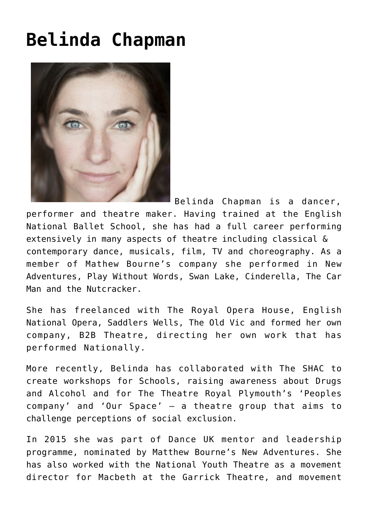## **[Belinda Chapman](https://www.accessart.org.uk/belinda-chapman/)**



Belinda Chapman is a dancer, performer and theatre maker. Having trained at the English National Ballet School, she has had a full career performing extensively in many aspects of theatre including classical & contemporary dance, musicals, film, TV and choreography. As a member of Mathew Bourne's company she performed in New Adventures, Play Without Words, Swan Lake, Cinderella, The Car Man and the Nutcracker.

She has freelanced with The Royal Opera House, English National Opera, Saddlers Wells, The Old Vic and formed her own company, B2B Theatre, directing her own work that has performed Nationally.

More recently, Belinda has collaborated with The SHAC to create workshops for Schools, raising awareness about Drugs and Alcohol and for The Theatre Royal Plymouth's 'Peoples company' and 'Our Space' – a theatre group that aims to challenge perceptions of social exclusion.

In 2015 she was part of Dance UK mentor and leadership programme, nominated by Matthew Bourne's New Adventures. She has also worked with the National Youth Theatre as a movement director for Macbeth at the Garrick Theatre, and movement